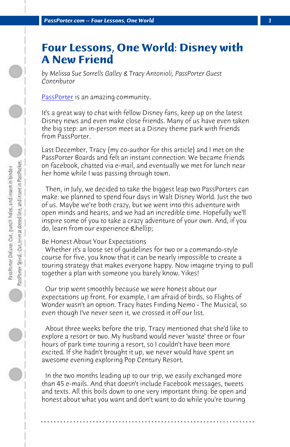*PassPorter.com -- Four Lessons, One World 1*

## **Four Lessons, One World: Disney with A New Friend**

*by Melissa Sue Sorrells Galley & Tracy Antonioli, PassPorter Guest Contributor*

PassPorter is an amazing community.

It's a great way to chat with fellow Disney fans, keep up on the latest Disney news and even make close friends. Many of us have even taken the big step: an in-person meet at a Disney theme park with friends from PassPorter.

Last December, Tracy (my co-author for this article) and I met on the PassPorter Boards and felt an instant connection. We became friends on facebook, chatted via e-mail, and eventually we met for lunch near her home while I was passing through town.

 Then, in July, we decided to take the biggest leap two PassPorters can make: we planned to spend four days in Walt Disney World. Just the two of us. Maybe we're both crazy, but we went into this adventure with open minds and hearts, and we had an incredible time. Hopefully we'll inspire some of you to take a crazy adventure of your own. And, if you do, learn from our experience *Chellip*;

Be Honest About Your Expectations

 Whether it's a loose set of guidelines for two or a commando-style course for five, you know that it can be nearly impossible to create a touring strategy that makes everyone happy. Now imagine trying to pull together a plan with someone you barely know. Yikes!

 Our trip went smoothly because we were honest about our expectations up front. For example, I am afraid of birds, so Flights of Wonder wasn't an option. Tracy hates Finding Nemo - The Musical, so even though I've never seen it, we crossed it off our list.

 About three weeks before the trip, Tracy mentioned that she'd like to explore a resort or two. My husband would never 'waste' three or four hours of park time touring a resort, so I couldn't have been more excited. If she hadn't brought it up, we never would have spent an awesome evening exploring Pop Century Resort.

 In the two months leading up to our trip, we easily exchanged more than 45 e-mails. And that doesn't include Facebook messages, tweets and texts. All this boils down to one very important thing: be open and honest about what you want and don't want to do while you're touring

**. . . . . . . . . . . . . . . . . . . . . . . . . . . . . . . . . . . . . . . . . . . . . . . . . . . . . . . . . . . . . . . . . .**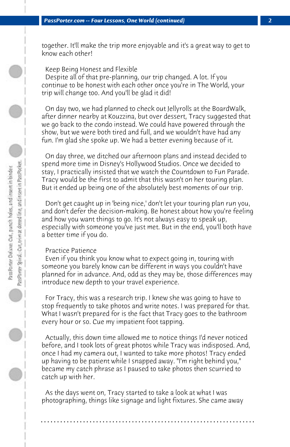together. It'll make the trip more enjoyable and it's a great way to get to know each other!

 Keep Being Honest and Flexible

 Despite all of that pre-planning, our trip changed. A lot. If you continue to be honest with each other once you're in The World, your trip will change too. And you'll be glad it did!

 On day two, we had planned to check out Jellyrolls at the BoardWalk, after dinner nearby at Kouzzina, but over dessert, Tracy suggested that we go back to the condo instead. We could have powered through the show, but we were both tired and full, and we wouldn't have had any fun. I'm glad she spoke up. We had a better evening because of it.

 On day three, we ditched our afternoon plans and instead decided to spend more time in Disney's Hollywood Studios. Once we decided to stay, I practically insisted that we watch the Countdown to Fun Parade. Tracy would be the first to admit that this wasn't on her touring plan. But it ended up being one of the absolutely best moments of our trip.

 Don't get caught up in 'being nice,' don't let your touring plan run you, and don't defer the decision-making. Be honest about how you're feeling and how you want things to go. It's not always easy to speak up, especially with someone you've just met. But in the end, you'll both have a better time if you do.

## Practice Patience

 Even if you think you know what to expect going in, touring with someone you barely know can be different in ways you couldn't have planned for in advance. And, odd as they may be, those differences may introduce new depth to your travel experience.

 For Tracy, this was a research trip. I knew she was going to have to stop frequently to take photos and write notes. I was prepared for that. What I wasn't prepared for is the fact that Tracy goes to the bathroom every hour or so. Cue my impatient foot tapping.

 Actually, this down time allowed me to notice things I'd never noticed before, and I took lots of great photos while Tracy was indisposed. And, once I had my camera out, I wanted to take more photos! Tracy ended up having to be patient while I snapped away. "I'm right behind you," became my catch phrase as I paused to take photos then scurried to catch up with her.

 As the days went on, Tracy started to take a look at what I was photographing, things like signage and light fixtures. She came away

**. . . . . . . . . . . . . . . . . . . . . . . . . . . . . . . . . . . . . . . . . . . . . . . . . . . . . . . . . . . . . . . . . .**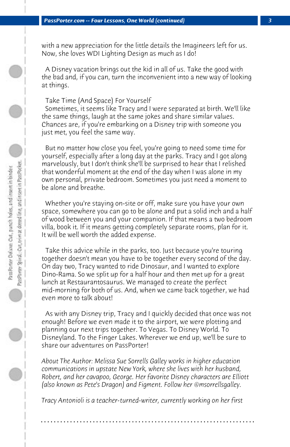with a new appreciation for the little details the Imagineers left for us. Now, she loves WDI Lighting Design as much as I do!

 A Disney vacation brings out the kid in all of us. Take the good with the bad and, if you can, turn the inconvenient into a new way of looking at things.

 Take Time (And Space) For Yourself

 Sometimes, it seems like Tracy and I were separated at birth. We'll like the same things, laugh at the same jokes and share similar values. Chances are, if you're embarking on a Disney trip with someone you just met, you feel the same way.

 But no matter how close you feel, you're going to need some time for yourself, especially after a long day at the parks. Tracy and I got along marvelously, but I don't think she'll be surprised to hear that I relished that wonderful moment at the end of the day when I was alone in my own personal, private bedroom. Sometimes you just need a moment to be alone and breathe.

 Whether you're staying on-site or off, make sure you have your own space, somewhere you can go to be alone and put a solid inch and a half of wood between you and your companion. If that means a two bedroom villa, book it. If it means getting completely separate rooms, plan for it. It will be well worth the added expense.

 Take this advice while in the parks, too. Just because you're touring together doesn't mean you have to be together every second of the day. On day two, Tracy wanted to ride Dinosaur, and I wanted to explore Dino-Rama. So we split up for a half hour and then met up for a great lunch at Restaurantosaurus. We managed to create the perfect mid-morning for both of us. And, when we came back together, we had even more to talk about!

 As with any Disney trip, Tracy and I quickly decided that once was not enough! Before we even made it to the airport, we were plotting and planning our next trips together. To Vegas. To Disney World. To Disneyland. To the Finger Lakes. Wherever we end up, we'll be sure to share our adventures on PassPorter!

*About The Author: Melissa Sue Sorrells Galley works in higher education communications in upstate New York, where she lives with her husband, Robert, and her cavapoo, George. Her favorite Disney characters are Elliott (also known as Pete's Dragon) and Figment. Follow her @msorrellsgalley.* 

*Tracy Antonioli is a teacher-turned-writer, currently working on her first*

**. . . . . . . . . . . . . . . . . . . . . . . . . . . . . . . . . . . . . . . . . . . . . . . . . . . . . . . . . . . . . . . . . .**